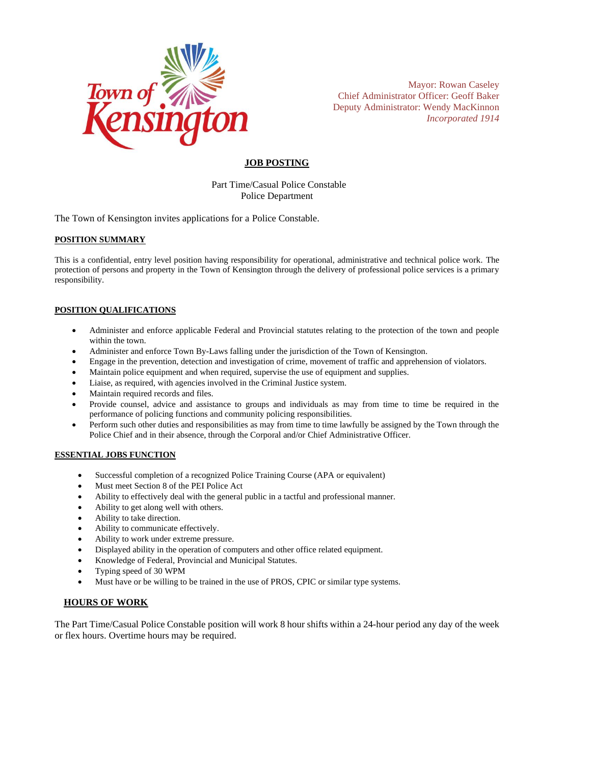

Mayor: Rowan Caseley Chief Administrator Officer: Geoff Baker Deputy Administrator: Wendy MacKinnon *Incorporated 1914*

# **JOB POSTING**

Part Time/Casual Police Constable Police Department

The Town of Kensington invites applications for a Police Constable.

### **POSITION SUMMARY**

This is a confidential, entry level position having responsibility for operational, administrative and technical police work. The protection of persons and property in the Town of Kensington through the delivery of professional police services is a primary responsibility.

### **POSITION QUALIFICATIONS**

- Administer and enforce applicable Federal and Provincial statutes relating to the protection of the town and people within the town.
- Administer and enforce Town By-Laws falling under the jurisdiction of the Town of Kensington.
- Engage in the prevention, detection and investigation of crime, movement of traffic and apprehension of violators.
- Maintain police equipment and when required, supervise the use of equipment and supplies.
- Liaise, as required, with agencies involved in the Criminal Justice system.
- Maintain required records and files.
- Provide counsel, advice and assistance to groups and individuals as may from time to time be required in the performance of policing functions and community policing responsibilities.
- Perform such other duties and responsibilities as may from time to time lawfully be assigned by the Town through the Police Chief and in their absence, through the Corporal and/or Chief Administrative Officer.

#### **ESSENTIAL JOBS FUNCTION**

- Successful completion of a recognized Police Training Course (APA or equivalent)
- Must meet Section 8 of the PEI Police Act
- Ability to effectively deal with the general public in a tactful and professional manner.
- Ability to get along well with others.
- Ability to take direction.
- Ability to communicate effectively.
- Ability to work under extreme pressure.
- Displayed ability in the operation of computers and other office related equipment.
- Knowledge of Federal, Provincial and Municipal Statutes.
- Typing speed of 30 WPM
- Must have or be willing to be trained in the use of PROS, CPIC or similar type systems.

## **HOURS OF WORK**

The Part Time/Casual Police Constable position will work 8 hour shifts within a 24-hour period any day of the week or flex hours. Overtime hours may be required.